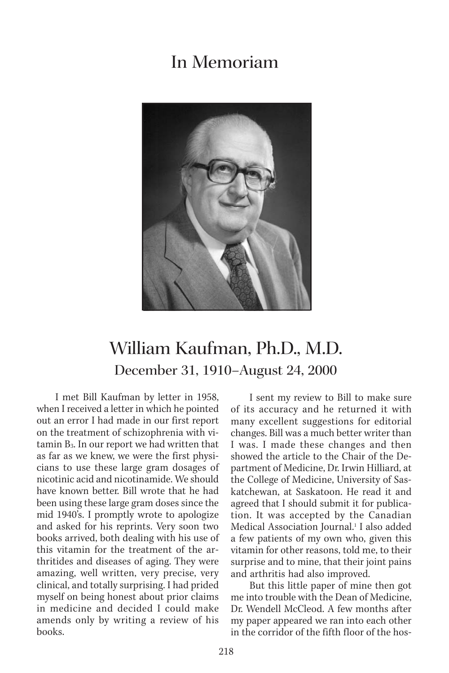## In Memoriam



## William Kaufman, Ph.D., M.D. December 31, 1910–August 24, 2000

I met Bill Kaufman by letter in 1958, when I received a letter in which he pointed out an error I had made in our first report on the treatment of schizophrenia with vitamin B3. In our report we had written that as far as we knew, we were the first physicians to use these large gram dosages of nicotinic acid and nicotinamide. We should have known better. Bill wrote that he had been using these large gram doses since the mid 1940's. I promptly wrote to apologize and asked for his reprints. Very soon two books arrived, both dealing with his use of this vitamin for the treatment of the arthritides and diseases of aging. They were amazing, well written, very precise, very clinical, and totally surprising. I had prided myself on being honest about prior claims in medicine and decided I could make amends only by writing a review of his books.

I sent my review to Bill to make sure of its accuracy and he returned it with many excellent suggestions for editorial changes. Bill was a much better writer than I was. I made these changes and then showed the article to the Chair of the Department of Medicine, Dr. Irwin Hilliard, at the College of Medicine, University of Saskatchewan, at Saskatoon. He read it and agreed that I should submit it for publication. It was accepted by the Canadian Medical Association Journal.1 I also added a few patients of my own who, given this vitamin for other reasons, told me, to their surprise and to mine, that their joint pains and arthritis had also improved.

But this little paper of mine then got me into trouble with the Dean of Medicine, Dr. Wendell McCleod. A few months after my paper appeared we ran into each other in the corridor of the fifth floor of the hos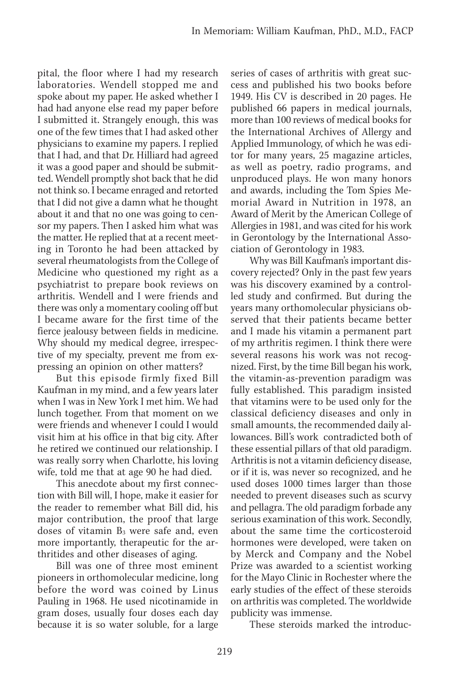pital, the floor where I had my research laboratories. Wendell stopped me and spoke about my paper. He asked whether I had had anyone else read my paper before I submitted it. Strangely enough, this was one of the few times that I had asked other physicians to examine my papers. I replied that I had, and that Dr. Hilliard had agreed it was a good paper and should be submitted. Wendell promptly shot back that he did not think so. I became enraged and retorted that I did not give a damn what he thought about it and that no one was going to censor my papers. Then I asked him what was the matter. He replied that at a recent meeting in Toronto he had been attacked by several rheumatologists from the College of Medicine who questioned my right as a psychiatrist to prepare book reviews on arthritis. Wendell and I were friends and there was only a momentary cooling off but I became aware for the first time of the fierce jealousy between fields in medicine. Why should my medical degree, irrespective of my specialty, prevent me from expressing an opinion on other matters?

But this episode firmly fixed Bill Kaufman in my mind, and a few years later when I was in New York I met him. We had lunch together. From that moment on we were friends and whenever I could I would visit him at his office in that big city. After he retired we continued our relationship. I was really sorry when Charlotte, his loving wife, told me that at age 90 he had died.

This anecdote about my first connection with Bill will, I hope, make it easier for the reader to remember what Bill did, his major contribution, the proof that large doses of vitamin  $B_3$  were safe and, even more importantly, therapeutic for the arthritides and other diseases of aging.

Bill was one of three most eminent pioneers in orthomolecular medicine, long before the word was coined by Linus Pauling in 1968. He used nicotinamide in gram doses, usually four doses each day because it is so water soluble, for a large series of cases of arthritis with great success and published his two books before 1949. His CV is described in 20 pages. He published 66 papers in medical journals, more than 100 reviews of medical books for the International Archives of Allergy and Applied Immunology, of which he was editor for many years, 25 magazine articles, as well as poetry, radio programs, and unproduced plays. He won many honors and awards, including the Tom Spies Memorial Award in Nutrition in 1978, an Award of Merit by the American College of Allergies in 1981, and was cited for his work in Gerontology by the International Association of Gerontology in 1983.

Why was Bill Kaufman's important discovery rejected? Only in the past few years was his discovery examined by a controlled study and confirmed. But during the years many orthomolecular physicians observed that their patients became better and I made his vitamin a permanent part of my arthritis regimen. I think there were several reasons his work was not recognized. First, by the time Bill began his work, the vitamin-as-prevention paradigm was fully established. This paradigm insisted that vitamins were to be used only for the classical deficiency diseases and only in small amounts, the recommended daily allowances. Bill's work contradicted both of these essential pillars of that old paradigm. Arthritis is not a vitamin deficiency disease, or if it is, was never so recognized, and he used doses 1000 times larger than those needed to prevent diseases such as scurvy and pellagra. The old paradigm forbade any serious examination of this work. Secondly, about the same time the corticosteroid hormones were developed, were taken on by Merck and Company and the Nobel Prize was awarded to a scientist working for the Mayo Clinic in Rochester where the early studies of the effect of these steroids on arthritis was completed. The worldwide publicity was immense.

These steroids marked the introduc-